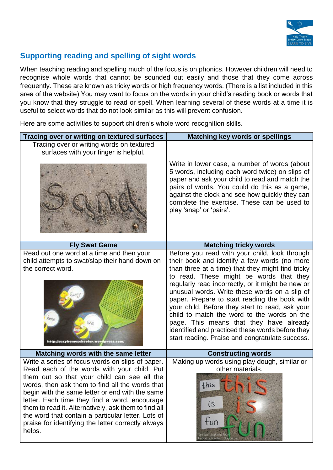

## **Supporting reading and spelling of sight words**

When teaching reading and spelling much of the focus is on phonics. However children will need to recognise whole words that cannot be sounded out easily and those that they come across frequently. These are known as tricky words or high frequency words. (There is a list included in this area of the website) You may want to focus on the words in your child's reading book or words that you know that they struggle to read or spell. When learning several of these words at a time it is useful to select words that do not look similar as this will prevent confusion.

Here are some activities to support children's whole word recognition skills.

| Tracing over or writing on textured surfaces                                                                                                                                                                                                                                                                                                                                                                                                                                        | <b>Matching key words or spellings</b>                                                                                                                                                                                                                                                                                                                                                                                                                                                                                                                                                                   |
|-------------------------------------------------------------------------------------------------------------------------------------------------------------------------------------------------------------------------------------------------------------------------------------------------------------------------------------------------------------------------------------------------------------------------------------------------------------------------------------|----------------------------------------------------------------------------------------------------------------------------------------------------------------------------------------------------------------------------------------------------------------------------------------------------------------------------------------------------------------------------------------------------------------------------------------------------------------------------------------------------------------------------------------------------------------------------------------------------------|
| Tracing over or writing words on textured<br>surfaces with your finger is helpful.                                                                                                                                                                                                                                                                                                                                                                                                  |                                                                                                                                                                                                                                                                                                                                                                                                                                                                                                                                                                                                          |
|                                                                                                                                                                                                                                                                                                                                                                                                                                                                                     | Write in lower case, a number of words (about<br>5 words, including each word twice) on slips of<br>paper and ask your child to read and match the<br>pairs of words. You could do this as a game,<br>against the clock and see how quickly they can<br>complete the exercise. These can be used to<br>play 'snap' or 'pairs'.                                                                                                                                                                                                                                                                           |
| <b>Fly Swat Game</b>                                                                                                                                                                                                                                                                                                                                                                                                                                                                | <b>Matching tricky words</b>                                                                                                                                                                                                                                                                                                                                                                                                                                                                                                                                                                             |
| Read out one word at a time and then your<br>child attempts to swat/slap their hand down on<br>the correct word.<br>http://suzyhomeschooler.wor                                                                                                                                                                                                                                                                                                                                     | Before you read with your child, look through<br>their book and identify a few words (no more<br>than three at a time) that they might find tricky<br>to read. These might be words that they<br>regularly read incorrectly, or it might be new or<br>unusual words. Write these words on a slip of<br>paper. Prepare to start reading the book with<br>your child. Before they start to read, ask your<br>child to match the word to the words on the<br>page. This means that they have already<br>identified and practiced these words before they<br>start reading. Praise and congratulate success. |
| Matching words with the same letter                                                                                                                                                                                                                                                                                                                                                                                                                                                 | <b>Constructing words</b>                                                                                                                                                                                                                                                                                                                                                                                                                                                                                                                                                                                |
| Write a series of focus words on slips of paper.<br>Read each of the words with your child. Put<br>them out so that your child can see all the<br>words, then ask them to find all the words that<br>begin with the same letter or end with the same<br>letter. Each time they find a word, encourage<br>them to read it. Alternatively, ask them to find all<br>the word that contain a particular letter. Lots of<br>praise for identifying the letter correctly always<br>helps. | Making up words using play dough, similar or<br>other materials.<br>this<br>is<br>tun                                                                                                                                                                                                                                                                                                                                                                                                                                                                                                                    |